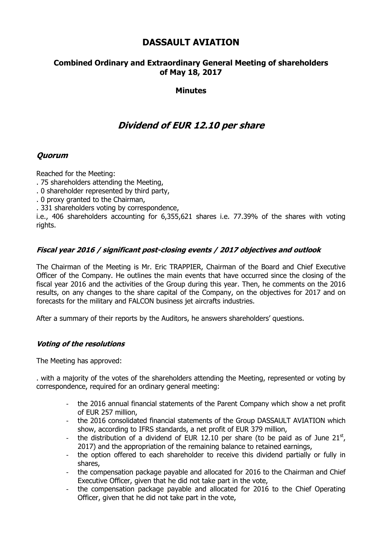## **DASSAULT AVIATION**

### **Combined Ordinary and Extraordinary General Meeting of shareholders of May 18, 2017**

### **Minutes**

# **Dividend of EUR 12.10 per share**

### **Quorum**

Reached for the Meeting:

- . 75 shareholders attending the Meeting,
- . 0 shareholder represented by third party,
- . 0 proxy granted to the Chairman,
- . 331 shareholders voting by correspondence,

i.e., 406 shareholders accounting for 6,355,621 shares i.e. 77.39% of the shares with voting rights.

### **Fiscal year 2016 / significant post-closing events / 2017 objectives and outlook**

The Chairman of the Meeting is Mr. Eric TRAPPIER, Chairman of the Board and Chief Executive Officer of the Company. He outlines the main events that have occurred since the closing of the fiscal year 2016 and the activities of the Group during this year. Then, he comments on the 2016 results, on any changes to the share capital of the Company, on the objectives for 2017 and on forecasts for the military and FALCON business jet aircrafts industries.

After a summary of their reports by the Auditors, he answers shareholders' questions.

#### **Voting of the resolutions**

The Meeting has approved:

. with a majority of the votes of the shareholders attending the Meeting, represented or voting by correspondence, required for an ordinary general meeting:

- the 2016 annual financial statements of the Parent Company which show a net profit of EUR 257 million,
- the 2016 consolidated financial statements of the Group DASSAULT AVIATION which show, according to IFRS standards, a net profit of EUR 379 million,
- the distribution of a dividend of EUR 12.10 per share (to be paid as of June  $21^{st}$ , 2017) and the appropriation of the remaining balance to retained earnings,
- the option offered to each shareholder to receive this dividend partially or fully in shares,
- the compensation package payable and allocated for 2016 to the Chairman and Chief Executive Officer, given that he did not take part in the vote,
- the compensation package payable and allocated for 2016 to the Chief Operating Officer, given that he did not take part in the vote,